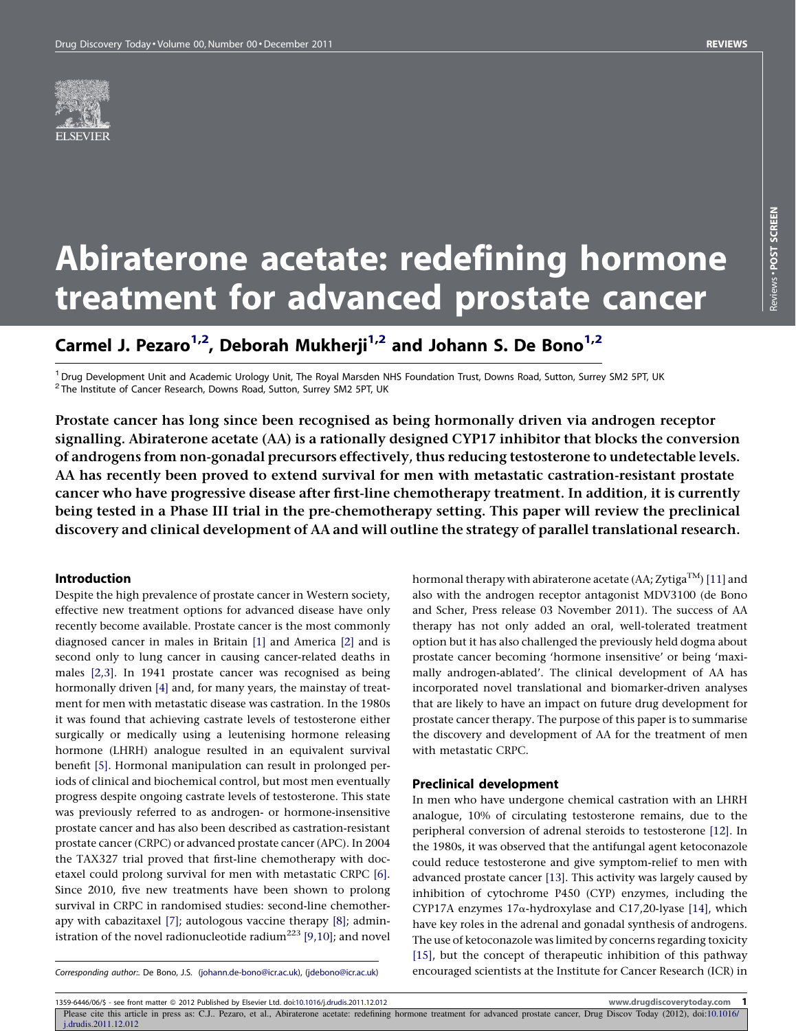

# Abiraterone acetate: redefining hormone treatment for advanced prostate cancer

# Carmel J. Pezaro<sup>1,2</sup>, Deborah Mukherji<sup>1,2</sup> and Johann S. De Bono<sup>1,2</sup>

<sup>1</sup> Drug Development Unit and Academic Urology Unit, The Royal Marsden NHS Foundation Trust, Downs Road, Sutton, Surrey SM2 5PT, UK <sup>2</sup> The Institute of Cancer Research, Downs Road, Sutton, Downs Road, Sutton, Surrey SM2

Prostate cancer has long since been recognised as being hormonally driven via androgen receptor signalling. Abiraterone acetate (AA) is a rationally designed CYP17 inhibitor that blocks the conversion of androgens from non-gonadal precursors effectively, thus reducing testosterone to undetectable levels. AA has recently been proved to extend survival for men with metastatic castration-resistant prostate cancer who have progressive disease after first-line chemotherapy treatment. In addition, it is currently being tested in a Phase III trial in the pre-chemotherapy setting. This paper will review the preclinical discovery and clinical development of AA and will outline the strategy of parallel translational research.

# Introduction

Despite the high prevalence of prostate cancer in Western society, effective new treatment options for advanced disease have only recently become available. Prostate cancer is the most commonly diagnosed cancer in males in Britain [\[1\]](#page-4-0) and America [\[2\]](#page-4-0) and is second only to lung cancer in causing cancer-related deaths in males [\[2,3\].](#page-4-0) In 1941 prostate cancer was recognised as being hormonally driven [\[4\]](#page-4-0) and, for many years, the mainstay of treatment for men with metastatic disease was castration. In the 1980s it was found that achieving castrate levels of testosterone either surgically or medically using a leutenising hormone releasing hormone (LHRH) analogue resulted in an equivalent survival benefit [\[5\]](#page-4-0). Hormonal manipulation can result in prolonged periods of clinical and biochemical control, but most men eventually progress despite ongoing castrate levels of testosterone. This state was previously referred to as androgen- or hormone-insensitive prostate cancer and has also been described as castration-resistant prostate cancer (CRPC) or advanced prostate cancer (APC). In 2004 the TAX327 trial proved that first-line chemotherapy with docetaxel could prolong survival for men with metastatic CRPC [\[6\].](#page-4-0) Since 2010, five new treatments have been shown to prolong survival in CRPC in randomised studies: second-line chemotherapy with cabazitaxel [\[7\];](#page-4-0) autologous vaccine therapy [\[8\];](#page-4-0) admin-istration of the novel radionucleotide radium<sup>223</sup> [\[9,10\]](#page-4-0); and novel hormonal therapy with abiraterone acetate (AA; Zytiga<sup>TM</sup>) [\[11\]](#page-4-0) and also with the androgen receptor antagonist MDV3100 (de Bono and Scher, Press release 03 November 2011). The success of AA therapy has not only added an oral, well-tolerated treatment option but it has also challenged the previously held dogma about prostate cancer becoming 'hormone insensitive' or being 'maximally androgen-ablated'. The clinical development of AA has incorporated novel translational and biomarker-driven analyses that are likely to have an impact on future drug development for prostate cancer therapy. The purpose of this paper is to summarise the discovery and development of AA for the treatment of men with metastatic CRPC.

#### Preclinical development

In men who have undergone chemical castration with an LHRH analogue, 10% of circulating testosterone remains, due to the peripheral conversion of adrenal steroids to testosterone [\[12\]](#page-4-0). In the 1980s, it was observed that the antifungal agent ketoconazole could reduce testosterone and give symptom-relief to men with advanced prostate cancer [\[13\]](#page-4-0). This activity was largely caused by inhibition of cytochrome P450 (CYP) enzymes, including the CYP17A enzymes  $17\alpha$ -hydroxylase and C17,20-lyase [\[14\]](#page-4-0), which have key roles in the adrenal and gonadal synthesis of androgens. The use of ketoconazole was limited by concerns regarding toxicity [\[15\],](#page-4-0) but the concept of therapeutic inhibition of this pathway encouraged scientists at the Institute for Cancer Research (ICR) in

Corresponding author:. De Bono, J.S. ([johann.de-bono@icr.ac.uk](mailto:johann.de-bono@icr.ac.uk)), ([jdebono@icr.ac.uk](mailto:jdebono@icr.ac.uk))

1359-6446/06/\$ - see front matter @ 2012 Published by Elsevier Ltd. doi[:10.1016/j.drudis.2011.12.012](http://dx.doi.org/10.1016/j.drudis.2011.12.012) www.drugdiscoverytoday.com 1

Please cite this article in press as: C.J.. Pezaro, et al., Abiraterone acetate: redefining hormone treatment for advanced prostate cancer, Drug Discov Today (2012), doi[:10.1016/](http://dx.doi.org/10.1016/j.drudis.2011.12.012) [j.drudis.2011.12.012](http://dx.doi.org/10.1016/j.drudis.2011.12.012)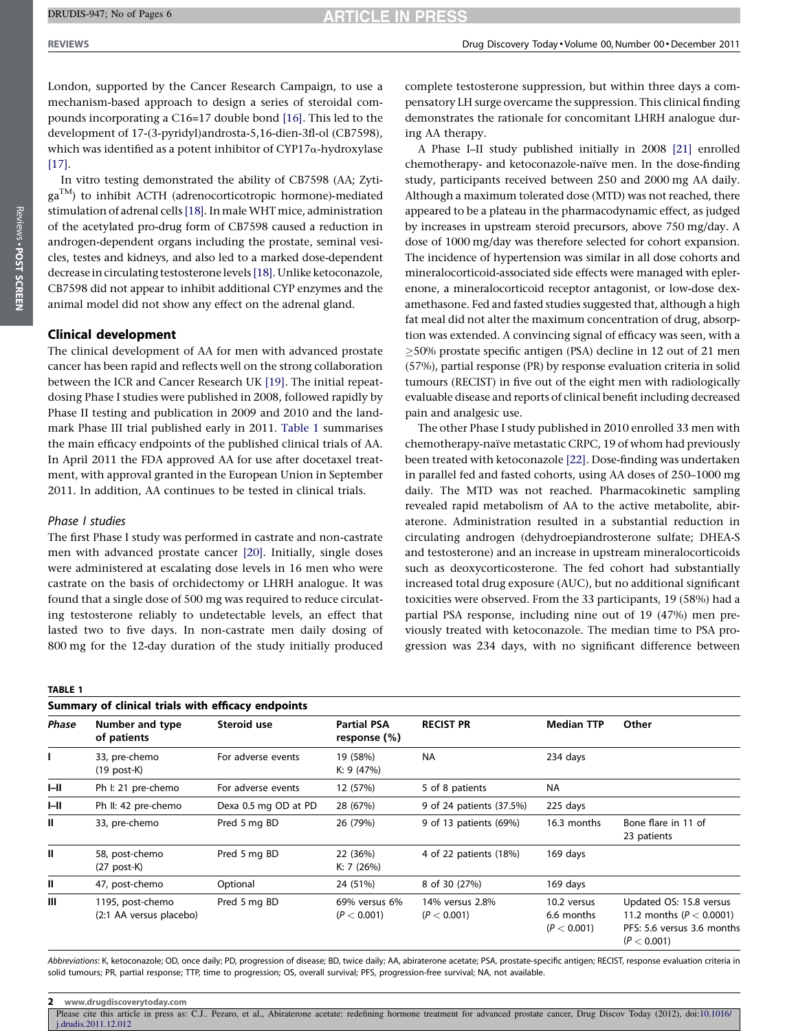#### <span id="page-1-0"></span>DRUDIS-947; No of Pages 6

London, supported by the Cancer Research Campaign, to use a mechanism-based approach to design a series of steroidal compounds incorporating a C16=17 double bond [\[16\].](#page-4-0) This led to the development of 17-(3-pyridyl)androsta-5,16-dien-3fl-ol (CB7598), which was identified as a potent inhibitor of CYP17a-hydroxylase [\[17\]](#page-4-0).

In vitro testing demonstrated the ability of CB7598 (AA; ZytigaTM) to inhibit ACTH (adrenocorticotropic hormone)-mediated stimulation of adrenal cells [\[18\]](#page-4-0). In male WHT mice, administration of the acetylated pro-drug form of CB7598 caused a reduction in androgen-dependent organs including the prostate, seminal vesicles, testes and kidneys, and also led to a marked dose-dependent decrease in circulating testosterone levels [\[18\].](#page-4-0) Unlike ketoconazole, CB7598 did not appear to inhibit additional CYP enzymes and the animal model did not show any effect on the adrenal gland.

# Clinical development

The clinical development of AA for men with advanced prostate cancer has been rapid and reflects well on the strong collaboration between the ICR and Cancer Research UK [\[19\]](#page-4-0). The initial repeatdosing Phase I studies were published in 2008, followed rapidly by Phase II testing and publication in 2009 and 2010 and the landmark Phase III trial published early in 2011. Table 1 summarises the main efficacy endpoints of the published clinical trials of AA. In April 2011 the FDA approved AA for use after docetaxel treatment, with approval granted in the European Union in September 2011. In addition, AA continues to be tested in clinical trials.

# Phase I studies

The first Phase I study was performed in castrate and non-castrate men with advanced prostate cancer [\[20\].](#page-4-0) Initially, single doses were administered at escalating dose levels in 16 men who were castrate on the basis of orchidectomy or LHRH analogue. It was found that a single dose of 500 mg was required to reduce circulating testosterone reliably to undetectable levels, an effect that lasted two to five days. In non-castrate men daily dosing of 800 mg for the 12-day duration of the study initially produced

complete testosterone suppression, but within three days a compensatory LH surge overcame the suppression. This clinical finding demonstrates the rationale for concomitant LHRH analogue during AA therapy.

A Phase I–II study published initially in 2008 [\[21\]](#page-4-0) enrolled chemotherapy- and ketoconazole-naïve men. In the dose-finding study, participants received between 250 and 2000 mg AA daily. Although a maximum tolerated dose (MTD) was not reached, there appeared to be a plateau in the pharmacodynamic effect, as judged by increases in upstream steroid precursors, above 750 mg/day. A dose of 1000 mg/day was therefore selected for cohort expansion. The incidence of hypertension was similar in all dose cohorts and mineralocorticoid-associated side effects were managed with eplerenone, a mineralocorticoid receptor antagonist, or low-dose dexamethasone. Fed and fasted studies suggested that, although a high fat meal did not alter the maximum concentration of drug, absorption was extended. A convincing signal of efficacy was seen, with a  $\geq$ 50% prostate specific antigen (PSA) decline in 12 out of 21 men (57%), partial response (PR) by response evaluation criteria in solid tumours (RECIST) in five out of the eight men with radiologically evaluable disease and reports of clinical benefit including decreased pain and analgesic use.

The other Phase I study published in 2010 enrolled 33 men with chemotherapy-naïve metastatic CRPC, 19 of whom had previously been treated with ketoconazole [\[22\]](#page-4-0). Dose-finding was undertaken in parallel fed and fasted cohorts, using AA doses of 250–1000 mg daily. The MTD was not reached. Pharmacokinetic sampling revealed rapid metabolism of AA to the active metabolite, abiraterone. Administration resulted in a substantial reduction in circulating androgen (dehydroepiandrosterone sulfate; DHEA-S and testosterone) and an increase in upstream mineralocorticoids such as deoxycorticosterone. The fed cohort had substantially increased total drug exposure (AUC), but no additional significant toxicities were observed. From the 33 participants, 19 (58%) had a partial PSA response, including nine out of 19 (47%) men previously treated with ketoconazole. The median time to PSA progression was 234 days, with no significant difference between

| Summary of clinical trials with efficacy endpoints |                                             |                      |                                    |                                |                                          |                                                                                                      |  |
|----------------------------------------------------|---------------------------------------------|----------------------|------------------------------------|--------------------------------|------------------------------------------|------------------------------------------------------------------------------------------------------|--|
| Phase                                              | Number and type<br>of patients              | Steroid use          | <b>Partial PSA</b><br>response (%) | <b>RECIST PR</b>               | <b>Median TTP</b>                        | Other                                                                                                |  |
| I.                                                 | 33, pre-chemo<br>$(19$ post-K)              | For adverse events   | 19 (58%)<br>K: $9(47%)$            | <b>NA</b>                      | 234 days                                 |                                                                                                      |  |
| H                                                  | Ph I: 21 pre-chemo                          | For adverse events   | 12 (57%)                           | 5 of 8 patients                | <b>NA</b>                                |                                                                                                      |  |
| H                                                  | Ph II: 42 pre-chemo                         | Dexa 0.5 mg OD at PD | 28 (67%)                           | 9 of 24 patients (37.5%)       | 225 days                                 |                                                                                                      |  |
| $\mathbf{I}$                                       | 33, pre-chemo                               | Pred 5 mg BD         | 26 (79%)                           | 9 of 13 patients (69%)         | 16.3 months                              | Bone flare in 11 of<br>23 patients                                                                   |  |
| Ш                                                  | 58, post-chemo<br>$(27$ post-K)             | Pred 5 mg BD         | 22 (36%)<br>K: $7(26%)$            | 4 of 22 patients (18%)         | 169 days                                 |                                                                                                      |  |
| $\mathbf{I}$                                       | 47, post-chemo                              | Optional             | 24 (51%)                           | 8 of 30 (27%)                  | 169 days                                 |                                                                                                      |  |
| Ш                                                  | 1195, post-chemo<br>(2:1 AA versus placebo) | Pred 5 mg BD         | 69% versus 6%<br>(P < 0.001)       | 14% versus 2.8%<br>(P < 0.001) | 10.2 versus<br>6.6 months<br>(P < 0.001) | Updated OS: 15.8 versus<br>11.2 months ( $P < 0.0001$ )<br>PFS: 5.6 versus 3.6 months<br>(P < 0.001) |  |

Abbreviations: K, ketoconazole; OD, once daily; PD, progression of disease; BD, twice daily; AA, abiraterone acetate; PSA, prostate-specific antigen; RECIST, response evaluation criteria in solid tumours; PR, partial response; TTP, time to progression; OS, overall survival; PFS, progression-free survival; NA, not available.

Please cite this article in press as: C.J.. Pezaro, et al., Abiraterone acetate: redefining hormone treatment for advanced prostate cancer, Drug Discov Today (2012), doi:[10.1016/](http://dx.doi.org/10.1016/j.drudis.2011.12.012) [j.drudis.2011.12.012](http://dx.doi.org/10.1016/j.drudis.2011.12.012)

<sup>2</sup> www.drugdiscoverytoday.com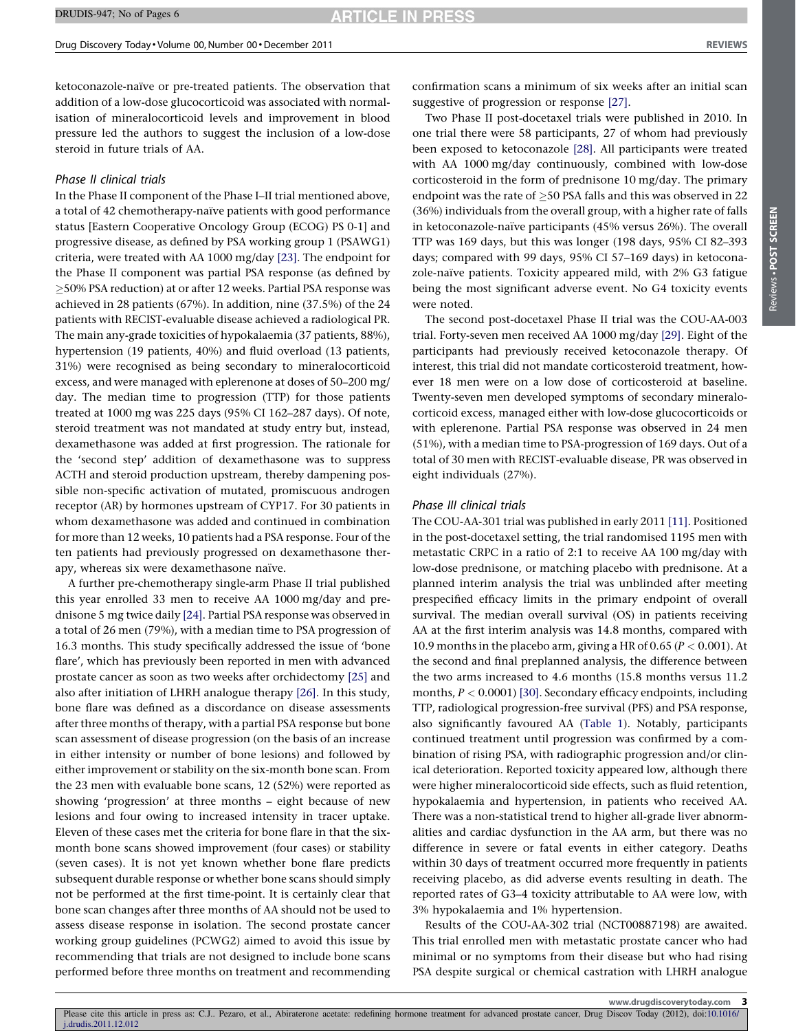ketoconazole-naïve or pre-treated patients. The observation that addition of a low-dose glucocorticoid was associated with normalisation of mineralocorticoid levels and improvement in blood pressure led the authors to suggest the inclusion of a low-dose steroid in future trials of AA.

# Phase II clinical trials

In the Phase II component of the Phase I–II trial mentioned above, a total of 42 chemotherapy-naïve patients with good performance status [Eastern Cooperative Oncology Group (ECOG) PS 0-1] and progressive disease, as defined by PSA working group 1 (PSAWG1) criteria, were treated with AA 1000 mg/day [\[23\].](#page-4-0) The endpoint for the Phase II component was partial PSA response (as defined by 50% PSA reduction) at or after 12 weeks. Partial PSA response was achieved in 28 patients (67%). In addition, nine (37.5%) of the 24 patients with RECIST-evaluable disease achieved a radiological PR. The main any-grade toxicities of hypokalaemia (37 patients, 88%), hypertension (19 patients, 40%) and fluid overload (13 patients, 31%) were recognised as being secondary to mineralocorticoid excess, and were managed with eplerenone at doses of 50–200 mg/ day. The median time to progression (TTP) for those patients treated at 1000 mg was 225 days (95% CI 162–287 days). Of note, steroid treatment was not mandated at study entry but, instead, dexamethasone was added at first progression. The rationale for the 'second step' addition of dexamethasone was to suppress ACTH and steroid production upstream, thereby dampening possible non-specific activation of mutated, promiscuous androgen receptor (AR) by hormones upstream of CYP17. For 30 patients in whom dexamethasone was added and continued in combination for more than 12 weeks, 10 patients had a PSA response. Four of the ten patients had previously progressed on dexamethasone therapy, whereas six were dexamethasone naïve.

A further pre-chemotherapy single-arm Phase II trial published this year enrolled 33 men to receive AA 1000 mg/day and prednisone 5 mg twice daily [\[24\].](#page-4-0) Partial PSA response was observed in a total of 26 men (79%), with a median time to PSA progression of 16.3 months. This study specifically addressed the issue of 'bone flare', which has previously been reported in men with advanced prostate cancer as soon as two weeks after orchidectomy [\[25\]](#page-4-0) and also after initiation of LHRH analogue therapy [\[26\]](#page-4-0). In this study, bone flare was defined as a discordance on disease assessments after three months of therapy, with a partial PSA response but bone scan assessment of disease progression (on the basis of an increase in either intensity or number of bone lesions) and followed by either improvement or stability on the six-month bone scan. From the 23 men with evaluable bone scans, 12 (52%) were reported as showing 'progression' at three months – eight because of new lesions and four owing to increased intensity in tracer uptake. Eleven of these cases met the criteria for bone flare in that the sixmonth bone scans showed improvement (four cases) or stability (seven cases). It is not yet known whether bone flare predicts subsequent durable response or whether bone scans should simply not be performed at the first time-point. It is certainly clear that bone scan changes after three months of AA should not be used to assess disease response in isolation. The second prostate cancer working group guidelines (PCWG2) aimed to avoid this issue by recommending that trials are not designed to include bone scans performed before three months on treatment and recommending

confirmation scans a minimum of six weeks after an initial scan suggestive of progression or response [\[27\]](#page-5-0).

Two Phase II post-docetaxel trials were published in 2010. In one trial there were 58 participants, 27 of whom had previously been exposed to ketoconazole [\[28\]](#page-5-0). All participants were treated with AA 1000 mg/day continuously, combined with low-dose corticosteroid in the form of prednisone 10 mg/day. The primary endpoint was the rate of  $>$  50 PSA falls and this was observed in 22 (36%) individuals from the overall group, with a higher rate of falls in ketoconazole-naïve participants (45% versus 26%). The overall TTP was 169 days, but this was longer (198 days, 95% CI 82–393 days; compared with 99 days, 95% CI 57–169 days) in ketoconazole-naïve patients. Toxicity appeared mild, with 2% G3 fatigue being the most significant adverse event. No G4 toxicity events were noted.

The second post-docetaxel Phase II trial was the COU-AA-003 trial. Forty-seven men received AA 1000 mg/day [\[29\]](#page-5-0). Eight of the participants had previously received ketoconazole therapy. Of interest, this trial did not mandate corticosteroid treatment, however 18 men were on a low dose of corticosteroid at baseline. Twenty-seven men developed symptoms of secondary mineralocorticoid excess, managed either with low-dose glucocorticoids or with eplerenone. Partial PSA response was observed in 24 men (51%), with a median time to PSA-progression of 169 days. Out of a total of 30 men with RECIST-evaluable disease, PR was observed in eight individuals (27%).

#### Phase III clinical trials

The COU-AA-301 trial was published in early 2011 [\[11\].](#page-4-0) Positioned in the post-docetaxel setting, the trial randomised 1195 men with metastatic CRPC in a ratio of 2:1 to receive AA 100 mg/day with low-dose prednisone, or matching placebo with prednisone. At a planned interim analysis the trial was unblinded after meeting prespecified efficacy limits in the primary endpoint of overall survival. The median overall survival (OS) in patients receiving AA at the first interim analysis was 14.8 months, compared with 10.9 months in the placebo arm, giving a HR of 0.65 ( $P < 0.001$ ). At the second and final preplanned analysis, the difference between the two arms increased to 4.6 months (15.8 months versus 11.2 months,  $P < 0.0001$  [\[30\]](#page-5-0). Secondary efficacy endpoints, including TTP, radiological progression-free survival (PFS) and PSA response, also significantly favoured AA [\(Table](#page-1-0) 1). Notably, participants continued treatment until progression was confirmed by a combination of rising PSA, with radiographic progression and/or clinical deterioration. Reported toxicity appeared low, although there were higher mineralocorticoid side effects, such as fluid retention, hypokalaemia and hypertension, in patients who received AA. There was a non-statistical trend to higher all-grade liver abnormalities and cardiac dysfunction in the AA arm, but there was no difference in severe or fatal events in either category. Deaths within 30 days of treatment occurred more frequently in patients receiving placebo, as did adverse events resulting in death. The reported rates of G3–4 toxicity attributable to AA were low, with 3% hypokalaemia and 1% hypertension.

Results of the COU-AA-302 trial (NCT00887198) are awaited. This trial enrolled men with metastatic prostate cancer who had minimal or no symptoms from their disease but who had rising PSA despite surgical or chemical castration with LHRH analogue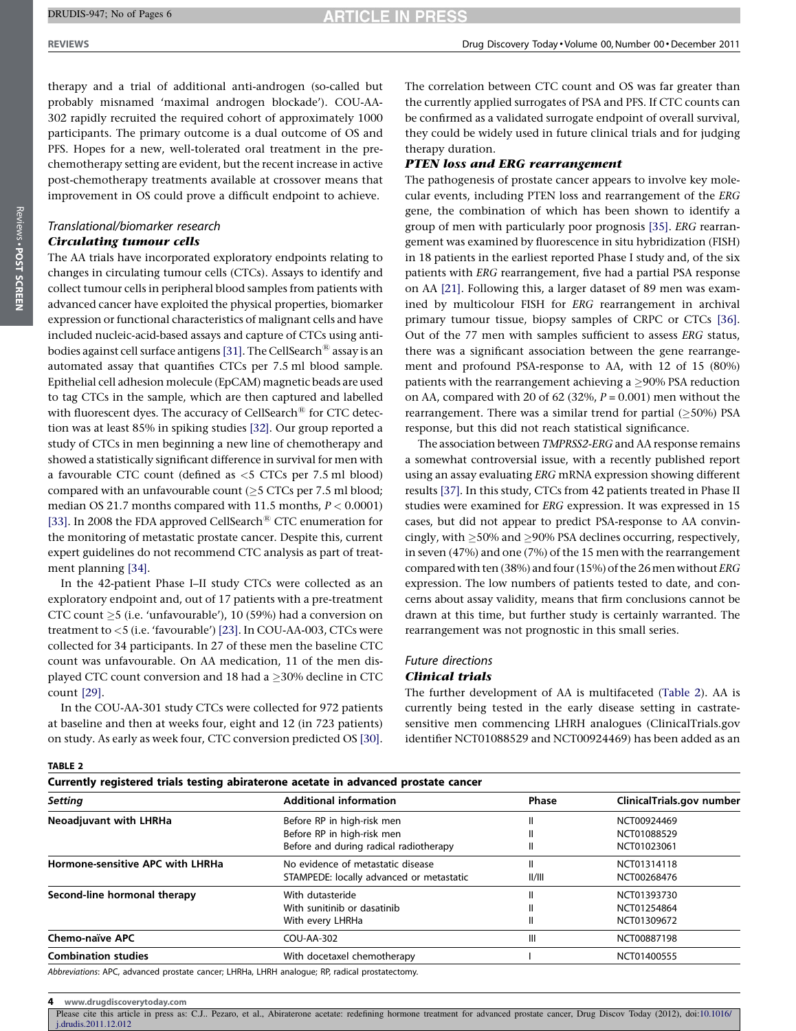#### DRUDIS-947; No of Pages 6

**ARTICLE IN PRESS** 

therapy and a trial of additional anti-androgen (so-called but probably misnamed 'maximal androgen blockade'). COU-AA-302 rapidly recruited the required cohort of approximately 1000 participants. The primary outcome is a dual outcome of OS and PFS. Hopes for a new, well-tolerated oral treatment in the prechemotherapy setting are evident, but the recent increase in active post-chemotherapy treatments available at crossover means that improvement in OS could prove a difficult endpoint to achieve.

# Translational/biomarker research Circulating tumour cells

The AA trials have incorporated exploratory endpoints relating to changes in circulating tumour cells (CTCs). Assays to identify and collect tumour cells in peripheral blood samples from patients with advanced cancer have exploited the physical properties, biomarker expression or functional characteristics of malignant cells and have included nucleic-acid-based assays and capture of CTCs using anti-bodies against cell surface antigens [\[31\]](#page-5-0). The CellSearch<sup>®</sup> assay is an automated assay that quantifies CTCs per 7.5 ml blood sample. Epithelial cell adhesion molecule (EpCAM) magnetic beads are used to tag CTCs in the sample, which are then captured and labelled with fluorescent dyes. The accuracy of CellSearch $^{\circledR}$  for CTC detection was at least 85% in spiking studies [\[32\]](#page-5-0). Our group reported a study of CTCs in men beginning a new line of chemotherapy and showed a statistically significant difference in survival for men with a favourable CTC count (defined as <5 CTCs per 7.5 ml blood) compared with an unfavourable count  $(\geq 5$  CTCs per 7.5 ml blood; median OS 21.7 months compared with 11.5 months,  $P < 0.0001$ ) [\[33\].](#page-5-0) In 2008 the FDA approved CellSearch<sup>®</sup> CTC enumeration for the monitoring of metastatic prostate cancer. Despite this, current expert guidelines do not recommend CTC analysis as part of treatment planning [\[34\]](#page-5-0).

In the 42-patient Phase I–II study CTCs were collected as an exploratory endpoint and, out of 17 patients with a pre-treatment CTC count  $\geq$ 5 (i.e. 'unfavourable'), 10 (59%) had a conversion on treatment to <5 (i.e. 'favourable') [\[23\]](#page-4-0). In COU-AA-003, CTCs were collected for 34 participants. In 27 of these men the baseline CTC count was unfavourable. On AA medication, 11 of the men displayed CTC count conversion and 18 had a  $>$ 30% decline in CTC count [\[29\]](#page-5-0).

In the COU-AA-301 study CTCs were collected for 972 patients at baseline and then at weeks four, eight and 12 (in 723 patients) on study. As early as week four, CTC conversion predicted OS [\[30\]](#page-5-0).

The correlation between CTC count and OS was far greater than the currently applied surrogates of PSA and PFS. If CTC counts can be confirmed as a validated surrogate endpoint of overall survival, they could be widely used in future clinical trials and for judging therapy duration.

#### PTEN loss and ERG rearrangement

The pathogenesis of prostate cancer appears to involve key molecular events, including PTEN loss and rearrangement of the ERG gene, the combination of which has been shown to identify a group of men with particularly poor prognosis [\[35\].](#page-5-0) ERG rearrangement was examined by fluorescence in situ hybridization (FISH) in 18 patients in the earliest reported Phase I study and, of the six patients with ERG rearrangement, five had a partial PSA response on AA [\[21\].](#page-4-0) Following this, a larger dataset of 89 men was examined by multicolour FISH for ERG rearrangement in archival primary tumour tissue, biopsy samples of CRPC or CTCs [\[36\]](#page-5-0). Out of the 77 men with samples sufficient to assess ERG status, there was a significant association between the gene rearrangement and profound PSA-response to AA, with 12 of 15 (80%) patients with the rearrangement achieving a  $\geq$ 90% PSA reduction on AA, compared with 20 of 62 (32%,  $P = 0.001$ ) men without the rearrangement. There was a similar trend for partial  $(>50\%)$  PSA response, but this did not reach statistical significance.

The association between TMPRSS2-ERG and AA response remains a somewhat controversial issue, with a recently published report using an assay evaluating ERG mRNA expression showing different results [\[37\].](#page-5-0) In this study, CTCs from 42 patients treated in Phase II studies were examined for ERG expression. It was expressed in 15 cases, but did not appear to predict PSA-response to AA convincingly, with  $\geq$ 50% and  $\geq$ 90% PSA declines occurring, respectively, in seven (47%) and one (7%) of the 15 men with the rearrangement compared with ten (38%) and four (15%) of the 26 men without ERG expression. The low numbers of patients tested to date, and concerns about assay validity, means that firm conclusions cannot be drawn at this time, but further study is certainly warranted. The rearrangement was not prognostic in this small series.

#### Future directions Clinical trials

The further development of AA is multifaceted (Table 2). AA is currently being tested in the early disease setting in castratesensitive men commencing LHRH analogues (ClinicalTrials.gov identifier NCT01088529 and NCT00924469) has been added as an

#### TABLE 2

| Currently registered trials testing abiraterone acetate in advanced prostate cancer         |                                          |              |                           |  |  |  |
|---------------------------------------------------------------------------------------------|------------------------------------------|--------------|---------------------------|--|--|--|
| <b>Setting</b>                                                                              | <b>Additional information</b>            | <b>Phase</b> | ClinicalTrials.gov number |  |  |  |
| <b>Neoadjuvant with LHRHa</b>                                                               | Before RP in high-risk men               | Ш            | NCT00924469               |  |  |  |
|                                                                                             | Before RP in high-risk men               | Ш            | NCT01088529               |  |  |  |
|                                                                                             | Before and during radical radiotherapy   | Ш            | NCT01023061               |  |  |  |
| Hormone-sensitive APC with LHRHa                                                            | No evidence of metastatic disease        | Ш            | NCT01314118               |  |  |  |
|                                                                                             | STAMPEDE: locally advanced or metastatic | II/III       | NCT00268476               |  |  |  |
| Second-line hormonal therapy                                                                | With dutasteride                         | Ш            | NCT01393730               |  |  |  |
|                                                                                             | With sunitinib or dasatinib              | Ш            | NCT01254864               |  |  |  |
|                                                                                             | With every LHRHa                         | Ш            | NCT01309672               |  |  |  |
| Chemo-naïve APC                                                                             | COU-AA-302                               | Ш            | NCT00887198               |  |  |  |
| <b>Combination studies</b>                                                                  | With docetaxel chemotherapy              |              | NCT01400555               |  |  |  |
| Abbroviations: APC, advanced prostate cancer LHPHa, LHPH analogue: PP radical prostatestomy |                                          |              |                           |  |  |  |

Abbreviations: APC, advanced prostate cancer; LHRHa, LHRH analogue; RP, radical prostatectomy.

4 www.drugdiscoverytoday.com

Please cite this article in press as: C.J.. Pezaro, et al., Abiraterone acetate: redefining hormone treatment for advanced prostate cancer, Drug Discov Today (2012), doi:[10.1016/](http://dx.doi.org/10.1016/j.drudis.2011.12.012) [j.drudis.2011.12.012](http://dx.doi.org/10.1016/j.drudis.2011.12.012)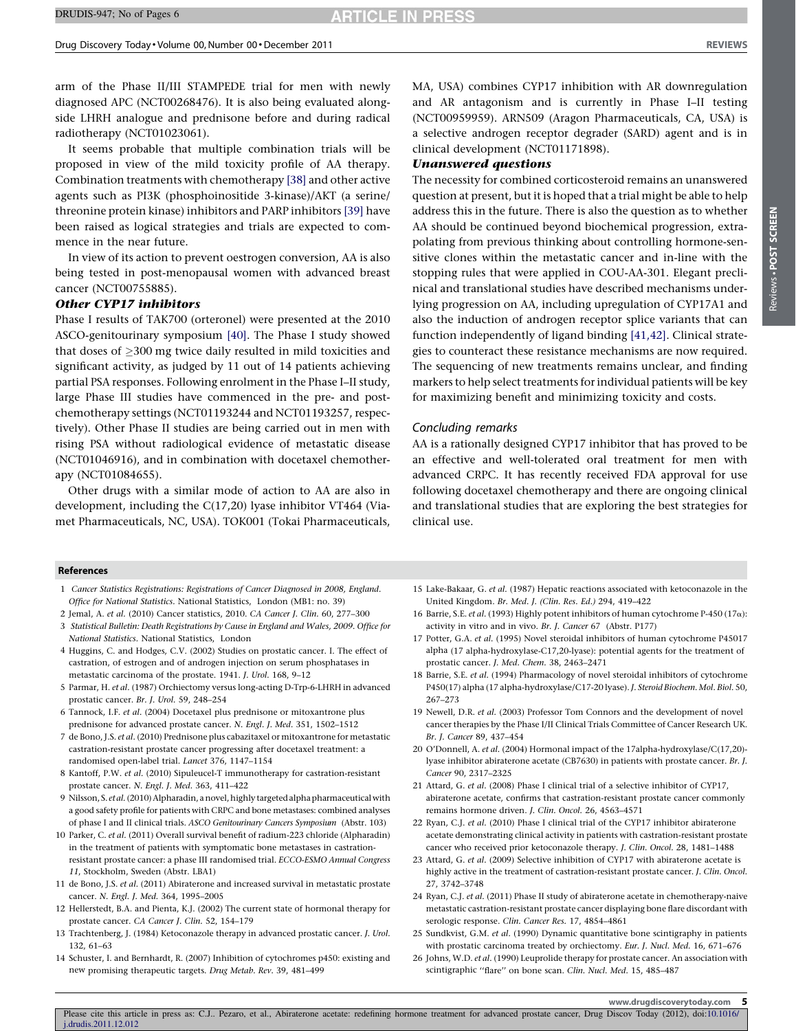<span id="page-4-0"></span>arm of the Phase II/III STAMPEDE trial for men with newly diagnosed APC (NCT00268476). It is also being evaluated alongside LHRH analogue and prednisone before and during radical radiotherapy (NCT01023061).

It seems probable that multiple combination trials will be proposed in view of the mild toxicity profile of AA therapy. Combination treatments with chemotherapy [\[38\]](#page-5-0) and other active agents such as PI3K (phosphoinositide 3-kinase)/AKT (a serine/ threonine protein kinase) inhibitors and PARP inhibitors [\[39\]](#page-5-0) have been raised as logical strategies and trials are expected to commence in the near future.

In view of its action to prevent oestrogen conversion, AA is also being tested in post-menopausal women with advanced breast cancer (NCT00755885).

# Other CYP17 inhibitors

Phase I results of TAK700 (orteronel) were presented at the 2010 ASCO-genitourinary symposium [\[40\]](#page-5-0). The Phase I study showed that doses of  $\geq$ 300 mg twice daily resulted in mild toxicities and significant activity, as judged by 11 out of 14 patients achieving partial PSA responses. Following enrolment in the Phase I–II study, large Phase III studies have commenced in the pre- and postchemotherapy settings (NCT01193244 and NCT01193257, respectively). Other Phase II studies are being carried out in men with rising PSA without radiological evidence of metastatic disease (NCT01046916), and in combination with docetaxel chemotherapy (NCT01084655).

Other drugs with a similar mode of action to AA are also in development, including the C(17,20) lyase inhibitor VT464 (Viamet Pharmaceuticals, NC, USA). TOK001 (Tokai Pharmaceuticals,

MA, USA) combines CYP17 inhibition with AR downregulation and AR antagonism and is currently in Phase I–II testing (NCT00959959). ARN509 (Aragon Pharmaceuticals, CA, USA) is a selective androgen receptor degrader (SARD) agent and is in clinical development (NCT01171898).

#### Unanswered questions

The necessity for combined corticosteroid remains an unanswered question at present, but it is hoped that a trial might be able to help address this in the future. There is also the question as to whether AA should be continued beyond biochemical progression, extrapolating from previous thinking about controlling hormone-sensitive clones within the metastatic cancer and in-line with the stopping rules that were applied in COU-AA-301. Elegant preclinical and translational studies have described mechanisms underlying progression on AA, including upregulation of CYP17A1 and also the induction of androgen receptor splice variants that can function independently of ligand binding [\[41,42\].](#page-5-0) Clinical strategies to counteract these resistance mechanisms are now required. The sequencing of new treatments remains unclear, and finding markers to help select treatments for individual patients will be key for maximizing benefit and minimizing toxicity and costs.

#### Concluding remarks

AA is a rationally designed CYP17 inhibitor that has proved to be an effective and well-tolerated oral treatment for men with advanced CRPC. It has recently received FDA approval for use following docetaxel chemotherapy and there are ongoing clinical and translational studies that are exploring the best strategies for clinical use.

#### References

1 Cancer Statistics Registrations: Registrations of Cancer Diagnosed in 2008, England. Office for National Statistics. National Statistics, London (MB1: no. 39)

2 Jemal, A. et al. (2010) Cancer statistics, 2010. CA Cancer J. Clin. 60, 277–300

- 3 Statistical Bulletin: Death Registrations by Cause in England and Wales, 2009. Office for National Statistics. National Statistics, London
- 4 Huggins, C. and Hodges, C.V. (2002) Studies on prostatic cancer. I. The effect of castration, of estrogen and of androgen injection on serum phosphatases in metastatic carcinoma of the prostate. 1941. J. Urol. 168, 9–12
- 5 Parmar, H. et al. (1987) Orchiectomy versus long-acting D-Trp-6-LHRH in advanced prostatic cancer. Br. J. Urol. 59, 248–254
- 6 Tannock, I.F. et al. (2004) Docetaxel plus prednisone or mitoxantrone plus prednisone for advanced prostate cancer. N. Engl. J. Med. 351, 1502–1512
- 7 de Bono, J.S. et al. (2010) Prednisone plus cabazitaxel or mitoxantrone for metastatic castration-resistant prostate cancer progressing after docetaxel treatment: a randomised open-label trial. Lancet 376, 1147–1154
- 8 Kantoff, P.W. et al. (2010) Sipuleucel-T immunotherapy for castration-resistant prostate cancer. N. Engl. J. Med. 363, 411–422
- 9 Nilsson, S. et al. (2010) Alpharadin, a novel, highly targeted alpha pharmaceutical with a good safety profile for patients with CRPC and bone metastases: combined analyses of phase I and II clinical trials. ASCO Genitourinary Cancers Symposium (Abstr. 103)
- 10 Parker, C. et al. (2011) Overall survival benefit of radium-223 chloride (Alpharadin) in the treatment of patients with symptomatic bone metastases in castrationresistant prostate cancer: a phase III randomised trial. ECCO-ESMO Annual Congress 11, Stockholm, Sweden (Abstr. LBA1)
- 11 de Bono, J.S. et al. (2011) Abiraterone and increased survival in metastatic prostate cancer. N. Engl. J. Med. 364, 1995–2005
- 12 Hellerstedt, B.A. and Pienta, K.J. (2002) The current state of hormonal therapy for prostate cancer. CA Cancer J. Clin. 52, 154–179
- 13 Trachtenberg, J. (1984) Ketoconazole therapy in advanced prostatic cancer. J. Urol. 132, 61–63
- 14 Schuster, I. and Bernhardt, R. (2007) Inhibition of cytochromes p450: existing and new promising therapeutic targets. Drug Metab. Rev. 39, 481–499
- 15 Lake-Bakaar, G. et al. (1987) Hepatic reactions associated with ketoconazole in the United Kingdom. Br. Med. J. (Clin. Res. Ed.) 294, 419–422
- 16 Barrie, S.E. et al. (1993) Highly potent inhibitors of human cytochrome P-450 (17 $\alpha$ ): activity in vitro and in vivo. Br. J. Cancer 67 (Abstr. P177)
- 17 Potter, G.A. et al. (1995) Novel steroidal inhibitors of human cytochrome P45017 alpha (17 alpha-hydroxylase-C17,20-lyase): potential agents for the treatment of prostatic cancer. J. Med. Chem. 38, 2463–2471
- 18 Barrie, S.E. et al. (1994) Pharmacology of novel steroidal inhibitors of cytochrome P450(17) alpha (17 alpha-hydroxylase/C17-20 lyase). J. Steroid Biochem. Mol. Biol. 50, 267–273
- 19 Newell, D.R. et al. (2003) Professor Tom Connors and the development of novel cancer therapies by the Phase I/II Clinical Trials Committee of Cancer Research UK. Br. J. Cancer 89, 437–454
- 20 O'Donnell, A. et al. (2004) Hormonal impact of the 17alpha-hydroxylase/C(17,20) lyase inhibitor abiraterone acetate (CB7630) in patients with prostate cancer. Br. J. Cancer 90, 2317–2325
- 21 Attard, G. et al. (2008) Phase I clinical trial of a selective inhibitor of CYP17, abiraterone acetate, confirms that castration-resistant prostate cancer commonly remains hormone driven. J. Clin. Oncol. 26, 4563–4571
- 22 Ryan, C.J. et al. (2010) Phase I clinical trial of the CYP17 inhibitor abiraterone acetate demonstrating clinical activity in patients with castration-resistant prostate cancer who received prior ketoconazole therapy. J. Clin. Oncol. 28, 1481–1488
- 23 Attard, G. et al. (2009) Selective inhibition of CYP17 with abiraterone acetate is highly active in the treatment of castration-resistant prostate cancer. J. Clin. Oncol. 27, 3742–3748
- 24 Ryan, C.J. et al. (2011) Phase II study of abiraterone acetate in chemotherapy-naive metastatic castration-resistant prostate cancer displaying bone flare discordant with serologic response. Clin. Cancer Res. 17, 4854–4861
- 25 Sundkvist, G.M. et al. (1990) Dynamic quantitative bone scintigraphy in patients with prostatic carcinoma treated by orchiectomy. Eur. J. Nucl. Med. 16, 671–676
- 26 Johns, W.D. et al. (1990) Leuprolide therapy for prostate cancer. An association with scintigraphic ''flare'' on bone scan. Clin. Nucl. Med. 15, 485–487